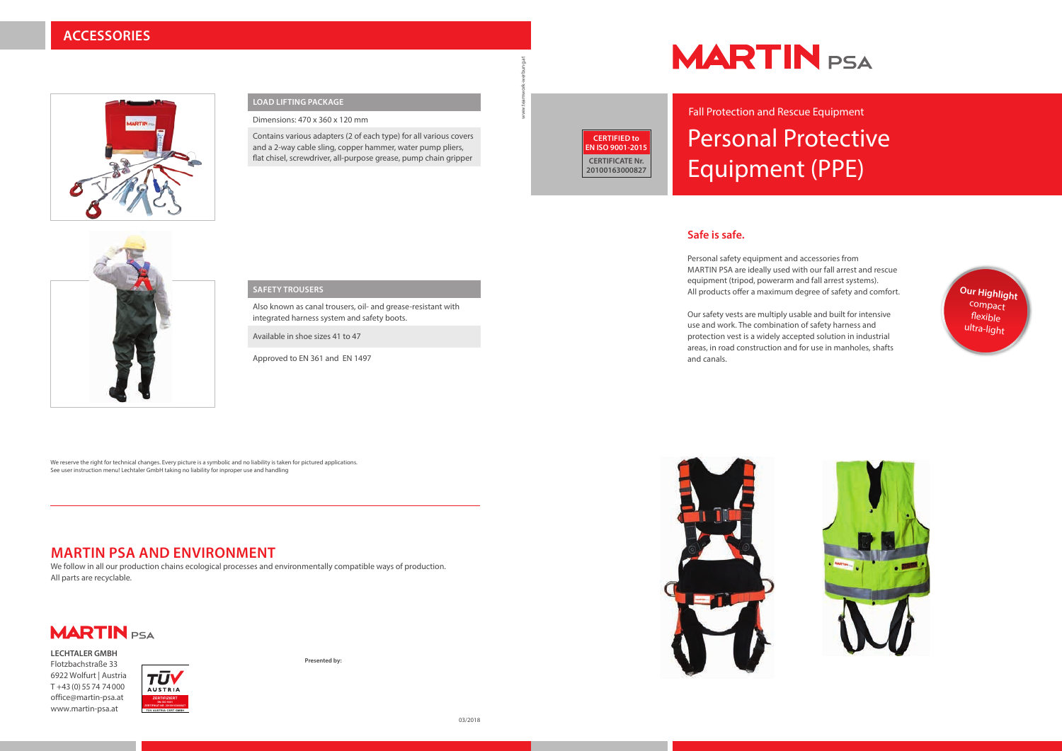## Personal Protective Equipment (PPE) Fall Protection and Rescue Equipment

### **Safe is safe.**

Personal safety equipment and accessories from MARTIN PSA are ideally used with our fall arrest and rescue equipment (tripod, powerarm and fall arrest systems). All products offer a maximum degree of safety and comfort.

Our safety vests are multiply usable and built for intensive use and work. The combination of safety harness and protection vest is a widely accepted solution in industrial areas, in road construction and for use in manholes, shafts and canals.







### **ACCESSORIES**



### **MARTIN PSA AND ENVIRONMENT**

We follow in all our production chains ecological processes and environmentally compatible ways of production. All parts are recyclable.



We reserve the right for technical changes. Every picture is a symbolic and no liability is taken for pictured applications. See user instruction menu! Lechtaler GmbH taking no liability for inproper use and handling

### **LOAD LIFTING PACKAGE**

Dimensions: 470 x 360 x 120 mm

Contains various adapters (2 of each type) for all various covers and a 2-way cable sling, copper hammer, water pump pliers, flat chisel, screwdriver, all-purpose grease, pump chain gripper

### **SAFETY TROUSERS**

Also known as canal trousers, oil- and grease-resistant with integrated harness system and safety boots.

Available in shoe sizes 41 to 47

Approved to EN 361 and EN 1497

**Presented by:**



www.teamwork-werbung.at



**LECHTALER GMBH** Flotzbachstraße 33 6922 Wolfurt | Austria T +43 (0) 55 74 74 000 office@martin-psa.at www.martin-psa.at



**CERTIFIED to EN ISO 9001-2015 CERTIFICATE Nr. 20100163000827**

# **MARTIN** PSA